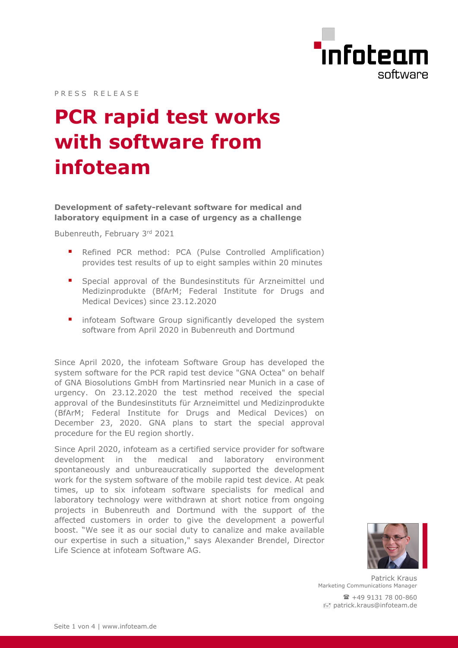

PRESS RELEASE

# **PCR rapid test works with software from infoteam**

**Development of safety-relevant software for medical and laboratory equipment in a case of urgency as a challenge**

Bubenreuth, February 3rd 2021

- Refined PCR method: PCA (Pulse Controlled Amplification) provides test results of up to eight samples within 20 minutes
- Special approval of the Bundesinstituts für Arzneimittel und Medizinprodukte (BfArM; Federal Institute for Drugs and Medical Devices) since 23.12.2020
- infoteam Software Group significantly developed the system software from April 2020 in Bubenreuth and Dortmund

Since April 2020, the infoteam Software Group has developed the system software for the PCR rapid test device "GNA Octea" on behalf of GNA Biosolutions GmbH from Martinsried near Munich in a case of urgency. On 23.12.2020 the test method received the special approval of the Bundesinstituts für Arzneimittel und Medizinprodukte (BfArM; Federal Institute for Drugs and Medical Devices) on December 23, 2020. GNA plans to start the special approval procedure for the EU region shortly.

Since April 2020, infoteam as a certified service provider for software development in the medical and laboratory environment spontaneously and unbureaucratically supported the development work for the system software of the mobile rapid test device. At peak times, up to six infoteam software specialists for medical and laboratory technology were withdrawn at short notice from ongoing projects in Bubenreuth and Dortmund with the support of the affected customers in order to give the development a powerful boost. "We see it as our social duty to canalize and make available our expertise in such a situation," says Alexander Brendel, Director Life Science at infoteam Software AG.



Patrick Kraus Marketing Communications Manager  $\mathbf{R}$  +49 9131 78 00-860 patrick.kraus@infoteam.de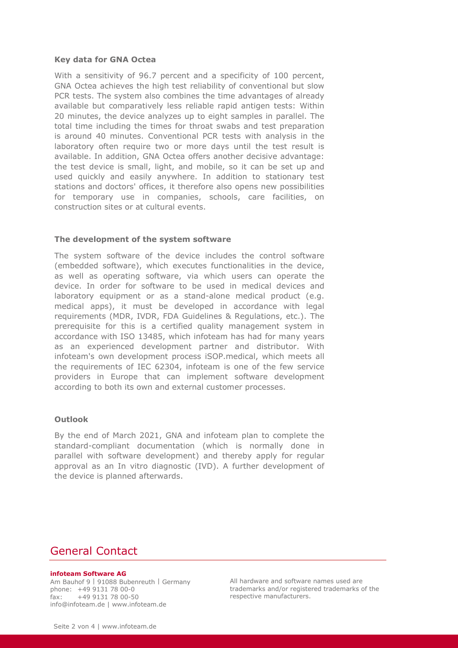## **Key data for GNA Octea**

With a sensitivity of 96.7 percent and a specificity of 100 percent, GNA Octea achieves the high test reliability of conventional but slow PCR tests. The system also combines the time advantages of already available but comparatively less reliable rapid antigen tests: Within 20 minutes, the device analyzes up to eight samples in parallel. The total time including the times for throat swabs and test preparation is around 40 minutes. Conventional PCR tests with analysis in the laboratory often require two or more days until the test result is available. In addition, GNA Octea offers another decisive advantage: the test device is small, light, and mobile, so it can be set up and used quickly and easily anywhere. In addition to stationary test stations and doctors' offices, it therefore also opens new possibilities for temporary use in companies, schools, care facilities, on construction sites or at cultural events.

#### **The development of the system software**

The system software of the device includes the control software (embedded software), which executes functionalities in the device, as well as operating software, via which users can operate the device. In order for software to be used in medical devices and laboratory equipment or as a stand-alone medical product (e.g. medical apps), it must be developed in accordance with legal requirements (MDR, IVDR, FDA Guidelines & Regulations, etc.). The prerequisite for this is a certified quality management system in accordance with ISO 13485, which infoteam has had for many years as an experienced development partner and distributor. With infoteam's own development process iSOP.medical, which meets all the requirements of IEC 62304, infoteam is one of the few service providers in Europe that can implement software development according to both its own and external customer processes.

## **Outlook**

By the end of March 2021, GNA and infoteam plan to complete the standard-compliant documentation (which is normally done in parallel with software development) and thereby apply for regular approval as an In vitro diagnostic (IVD). A further development of the device is planned afterwards.

# General Contact

#### **infoteam Software AG**

Am Bauhof 9 | 91088 Bubenreuth | Germany phone: +49 9131 78 00-0  $fax: +4991317800-50$ info@infoteam.de | www.infoteam.de

All hardware and software names used are trademarks and/or registered trademarks of the respective manufacturers.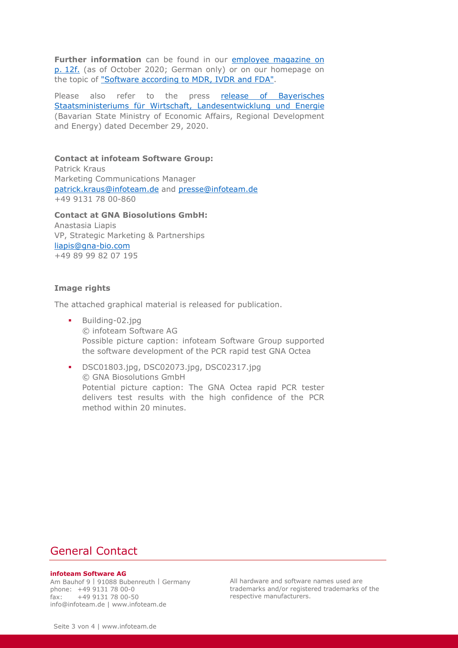**Further information** can be found in our employee magazine on p. [12f.](https://infoteam.de/fileadmin/user_upload/Pictures/Mitarbeiter/Mitarbeitermagazin/inf20004_mitarbeitermagazin_02_2020_nr2_04_re_web_ohne_nr_10mb.pdf) (as of October 2020; German only) or on our homepage on the topic of ["Software according to MDR, IVDR and FDA".](https://infoteam.de/en/our-know-how/software-in-accordance-with-mdr-ivdr-and-fda/)

Please also refer to the press release of Bayerisches [Staatsministeriums für Wirtschaft, Landesentwicklung und Energie](https://www.stmwi.bayern.de/presse/pressemeldungen/pressemeldung/pm/434-2020/) (Bavarian State Ministry of Economic Affairs, Regional Development and Energy) dated December 29, 2020.

## **Contact at infoteam Software Group:**

Patrick Kraus Marketing Communications Manager [patrick.kraus@infoteam.de](mailto:patrick.kraus@infoteam.de) and [presse@infoteam.de](mailto:presse@infoteam.de) +49 9131 78 00-860

**Contact at GNA Biosolutions GmbH:** Anastasia Liapis VP, Strategic Marketing & Partnerships [liapis@gna-bio.com](mailto:liapis@gna-bio.com) +49 89 99 82 07 195

#### **Image rights**

The attached graphical material is released for publication.

- **Building-02.jpg** © infoteam Software AG Possible picture caption: infoteam Software Group supported the software development of the PCR rapid test GNA Octea
- DSC01803.jpg, DSC02073.jpg, DSC02317.jpg © GNA Biosolutions GmbH Potential picture caption: The GNA Octea rapid PCR tester delivers test results with the high confidence of the PCR method within 20 minutes.

# General Contact

#### **infoteam Software AG**

Am Bauhof 9 | 91088 Bubenreuth | Germany phone: +49 9131 78 00-0  $fax: +4991317800-50$ info@infoteam.de | www.infoteam.de

All hardware and software names used are trademarks and/or registered trademarks of the respective manufacturers.